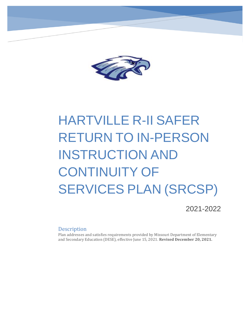

# HARTVILLE R-II SAFER RETURN TO IN-PERSON INSTRUCTION AND CONTINUITY OF SERVICES PLAN (SRCSP)

2021-2022

#### **Description**

Plan addresses and satisfies requirements provided by Missouri Department of Elementary and Secondary Education (DESE), effective June 15, 2021. **Revised December 20, 2021.**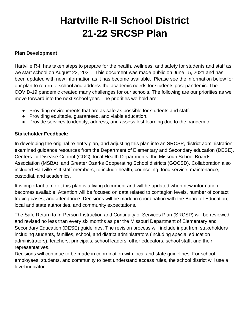# **Hartville R-II School District 21-22 SRCSP Plan**

#### **Plan Development**

Hartville R-II has taken steps to prepare for the health, wellness, and safety for students and staff as we start school on August 23, 2021. This document was made public on June 15, 2021 and has been updated with new information as it has become available. Please see the information below for our plan to return to school and address the academic needs for students post pandemic. The COVID-19 pandemic created many challenges for our schools. The following are our priorities as we move forward into the next school year. The priorities we hold are:

- Providing environments that are as safe as possible for students and staff.
- Providing equitable, guaranteed, and viable education.
- Provide services to identify, address, and assess lost learning due to the pandemic.

#### **Stakeholder Feedback:**

In developing the original re-entry plan, and adjusting this plan into an SRCSP, district administration examined guidance resources from the Department of Elementary and Secondary education (DESE), Centers for Disease Control (CDC), local Health Departments, the Missouri School Boards Association (MSBA), and Greater Ozarks Cooperating School districts (GOCSD). Collaboration also included Hartville R-II staff members, to include health, counseling, food service, maintenance, custodial, and academics.

It is important to note, this plan is a living document and will be updated when new information becomes available. Attention will be focused on data related to contagion levels, number of contact tracing cases, and attendance. Decisions will be made in coordination with the Board of Education, local and state authorities, and community expectations.

The Safe Return to In-Person Instruction and Continuity of Services Plan (SRCSP) will be reviewed and revised no less than every six months as per the Missouri Department of Elementary and Secondary Education (DESE) guidelines. The revision process will include input from stakeholders including students, families, school, and district administrators (including special education administrators), teachers, principals, school leaders, other educators, school staff, and their representatives.

Decisions will continue to be made in coordination with local and state guidelines. For school employees, students, and community to best understand access rules, the school district will use a level indicator: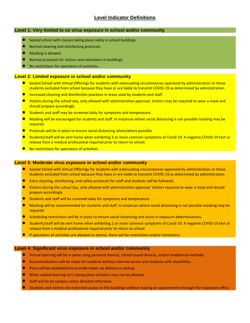#### **Level Indicator Definitions**

#### **Level 1: Very limited to no virus exposure in school and/or community**

- Seated school with classes taking place solely in school buildings.
- Normal cleaning and disinfecting protocols.
- Masking is allowed.
- Normal protocols for visitors and volunteers in buildings.
- No restrictions for spectators of activities.

#### **Level 2: Limited exposure in school and/or community**

- Seated School with Virtual Offerings for students with extenuating circumstances approved by administration or those students excluded from school because they have or are liable to transmit COVID-19 as determined by administration.
- Increased cleaning and disinfection practices in areas used by students and staff.
- Visitors during the school day, only allowed with administrative approval. Visitors may be required to wear a mask and should prepare accordingly.
- Students and staff may be screened daily for symptoms and temperature.
- Masking will be encouraged for students and staff. In instances where social distancing is not possible masking may be required.
- Protocols will be in place to ensure social distancing when/where possible.
- Students/staff will be sent home when exhibiting 3 or more common symptoms of Covid-19. A negative COVID-19 test or release from a medical professional required prior to return to school.
- No restrictions for spectators of activities.

#### **Level 3: Moderate virus exposure in school and/or community**

- Seated School with Virtual Offerings for students with extenuating circumstances approved by administration or those students excluded from school because they have or are liable to transmit COVID-19 as determined by administration.
- Extra cleaning, disinfecting, and safety protocols for staff and students will be followed.
- Visitors during the school day, only allowed with administrative approval. Visitors required to wear a mask and should prepare accordingly.
- Students and staff will be screened daily for symptoms and temperature.
- Masking will be recommended for students and staff. In instances where social distancing is not possible masking may be required.
- Scheduling restrictions will be in place to ensure social distancing and assist in exposure determinations.
- Students/staff will be sent home when exhibiting 2 or more common symptoms of Covid-19. A negative COVID-19 test or release from a medical professional required prior to return to school.
- If spectators of activities are allowed to attend, there will be restrictions and/or limitations.

#### **Level 4: Significant virus exposure in school and/or community**

- Virtual Learning will be in place using personal devices, school issued devices, and/or traditional methods.
- Accommodations will be made for students without internet access and students with disabilities.
- Plans will be established to provide meals via delivery or pickup.
- When seated learning isn't taking place activities may not be allowed.
- Staff will be on campus unless directed otherwise.
- Students and visitors are restricted access to the buildings without making an appointment through the respective office.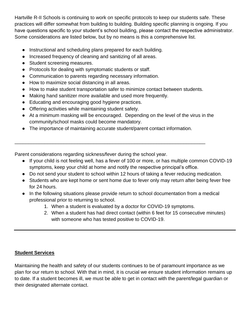Hartville R-II Schools is continuing to work on specific protocols to keep our students safe. These practices will differ somewhat from building to building. Building specific planning is ongoing. If you have questions specific to your student's school building, please contact the respective administrator. Some considerations are listed below, but by no means is this a comprehensive list.

- Instructional and scheduling plans prepared for each building.
- Increased frequency of cleaning and sanitizing of all areas.
- Student screening measures.
- Protocols for dealing with symptomatic students or staff.
- Communication to parents regarding necessary information.
- How to maximize social distancing in all areas.
- How to make student transportation safer to minimize contact between students.
- Making hand sanitizer more available and used more frequently.
- Educating and encouraging good hygiene practices.
- Offering activities while maintaining student safety.
- At a minimum masking will be encouraged. Depending on the level of the virus in the community/school masks could become mandatory.
- The importance of maintaining accurate student/parent contact information.

\_\_\_\_\_\_\_\_\_\_\_\_\_\_\_\_\_\_\_\_\_\_\_\_\_\_\_\_\_\_\_\_\_\_\_\_\_\_\_\_\_\_\_\_\_\_\_\_\_\_\_\_\_\_\_\_\_\_\_\_\_\_\_\_\_\_\_\_\_\_

Parent considerations regarding sickness/fever during the school year.

- If your child is not feeling well, has a fever of 100 or more, or has multiple common COVID-19 symptoms, keep your child at home and notify the respective principal's office.
- Do not send your student to school within 12 hours of taking a fever reducing medication.
- Students who are kept home or sent home due to fever only may return after being fever free for 24 hours.
- In the following situations please provide return to school documentation from a medical professional prior to returning to school.
	- 1. When a student is evaluated by a doctor for COVID-19 symptoms.
	- 2. When a student has had direct contact (within 6 feet for 15 consecutive minutes) with someone who has tested positive to COVID-19.

# **Student Services**

Maintaining the health and safety of our students continues to be of paramount importance as we plan for our return to school. With that in mind, it is crucial we ensure student information remains up to date. If a student becomes ill, we must be able to get in contact with the parent/legal guardian or their designated alternate contact.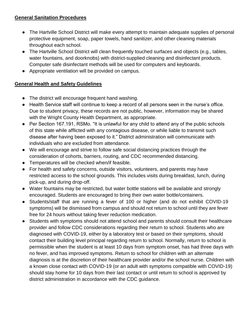#### **General Sanitation Procedures**

- The Hartville School District will make every attempt to maintain adequate supplies of personal protective equipment, soap, paper towels, hand sanitizer, and other cleaning materials throughout each school.
- The Hartville School District will clean frequently touched surfaces and objects (e.g., tables, water fountains, and doorknobs) with district-supplied cleaning and disinfectant products. Computer safe disinfectant methods will be used for computers and keyboards.
- Appropriate ventilation will be provided on campus.

## **General Health and Safety Guidelines**

- The district will encourage frequent hand washing.
- Health Service staff will continue to keep a record of all persons seen in the nurse's office. Due to student privacy, these records are not public, however, information may be shared with the Wright County Health Department, as appropriate.
- Per Section 167.191, RSMo. "It is unlawful for any child to attend any of the public schools of this state while afflicted with any contagious disease, or while liable to transmit such disease after having been exposed to it." District administration will communicate with individuals who are excluded from attendance.
- We will encourage and strive to follow safe social distancing practices through the consideration of cohorts, barriers, routing, and CDC recommended distancing.
- Temperatures will be checked when/if feasible.
- For health and safety concerns, outside visitors, volunteers, and parents may have restricted access to the school grounds. This includes visits during breakfast, lunch, during pick-up, and during drop-off.
- Water fountains may be restricted, but water bottle stations will be available and strongly encouraged. Students are encouraged to bring their own water bottle/containers.
- Students/staff that are running a fever of 100 or higher (and do not exhibit COVID-19 symptoms) will be dismissed from campus and should not return to school until they are fever free for 24 hours without taking fever reduction medication.
- Students with symptoms should not attend school and parents should consult their healthcare provider and follow CDC considerations regarding their return to school. Students who are diagnosed with COVID-19, either by a laboratory test or based on their symptoms, should contact their building level principal regarding return to school. Normally, return to school is permissible when the student is at least 10 days from symptom onset, has had three days with no fever, and has improved symptoms. Return to school for children with an alternate diagnosis is at the discretion of their healthcare provider and/or the school nurse. Children with a known close contact with COVID-19 (or an adult with symptoms compatible with COVID-19) should stay home for 10 days from their last contact or until return to school is approved by district administration in accordance with the CDC guidance.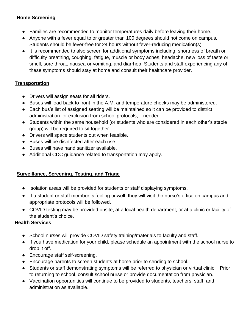### **Home Screening**

- Families are recommended to monitor temperatures daily before leaving their home.
- Anyone with a fever equal to or greater than 100 degrees should not come on campus. Students should be fever-free for 24 hours without fever-reducing medication(s).
- It is recommended to also screen for additional symptoms including: shortness of breath or difficulty breathing, coughing, fatigue, muscle or body aches, headache, new loss of taste or smell, sore throat, nausea or vomiting, and diarrhea. Students and staff experiencing any of these symptoms should stay at home and consult their healthcare provider.

## **Transportation**

- Drivers will assign seats for all riders.
- Buses will load back to front in the A.M. and temperature checks may be administered.
- Each bus's list of assigned seating will be maintained so it can be provided to district administration for exclusion from school protocols, if needed.
- Students within the same household (or students who are considered in each other's stable group) will be required to sit together.
- Drivers will space students out when feasible.
- Buses will be disinfected after each use
- Buses will have hand sanitizer available.
- Additional CDC guidance related to transportation may apply.

## **Surveillance, Screening, Testing, and Triage**

- Isolation areas will be provided for students or staff displaying symptoms.
- If a student or staff member is feeling unwell, they will visit the nurse's office on campus and appropriate protocols will be followed.
- COVID testing may be provided onsite, at a local health department, or at a clinic or facility of the student's choice.

#### **Health Services**

- School nurses will provide COVID safety training/materials to faculty and staff.
- If you have medication for your child, please schedule an appointment with the school nurse to drop it off.
- Encourage staff self-screening.
- Encourage parents to screen students at home prior to sending to school.
- Students or staff demonstrating symptoms will be referred to physician or virtual clinic ~ Prior to returning to school, consult school nurse or provide documentation from physician.
- Vaccination opportunities will continue to be provided to students, teachers, staff, and administration as available.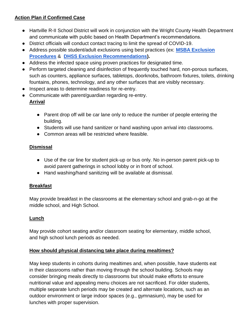# **Action Plan if Confirmed Case**

- Hartville R-II School District will work in conjunction with the Wright County Health Department and communicate with public based on Health Department's recommendations.
- District officials will conduct contact tracing to limit the spread of COVID-19.
- Address possible student/adult exclusions using best practices (ex: **[MSBA Exclusion](https://docs.google.com/document/d/1yg4OMS4gVZrHGs4bSvO9x8nFpODt91w1Ji60kXhVNK4/edit?usp=sharing)  [Procedures](https://docs.google.com/document/d/1yg4OMS4gVZrHGs4bSvO9x8nFpODt91w1Ji60kXhVNK4/edit?usp=sharing)** & **[DHSS Exclusion Recommendations\)](https://health.mo.gov/safety/childcare/pdf/covid-19-scenarios-with-action-steps.pdf).**
- Address the infected space using proven practices for designated time.
- Perform targeted cleaning and disinfection of frequently touched hard, non-porous surfaces, such as counters, appliance surfaces, tabletops, doorknobs, bathroom fixtures, toilets, drinking fountains, phones, technology, and any other surfaces that are visibly necessary.
- Inspect areas to determine readiness for re-entry.
- Communicate with parent/guardian regarding re-entry. **Arrival**
	- Parent drop off will be car lane only to reduce the number of people entering the building.
	- Students will use hand sanitizer or hand washing upon arrival into classrooms.
	- Common areas will be restricted where feasible.

## **Dismissal**

- Use of the car line for student pick-up or bus only. No in-person parent pick-up to avoid parent gatherings in school lobby or in front of school.
- Hand washing/hand sanitizing will be available at dismissal.

## **Breakfast**

May provide breakfast in the classrooms at the elementary school and grab-n-go at the middle school, and High School.

## **Lunch**

May provide cohort seating and/or classroom seating for elementary, middle school, and high school lunch periods as needed.

## **How should physical distancing take place during mealtimes?**

May keep students in cohorts during mealtimes and, when possible, have students eat in their classrooms rather than moving through the school building. Schools may consider bringing meals directly to classrooms but should make efforts to ensure nutritional value and appealing menu choices are not sacrificed. For older students, multiple separate lunch periods may be created and alternate locations, such as an outdoor environment or large indoor spaces (e.g., gymnasium), may be used for lunches with proper supervision.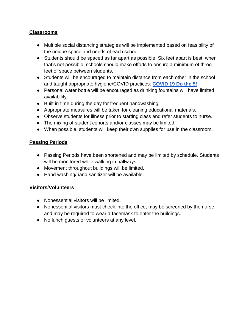#### **Classrooms**

- Multiple social distancing strategies will be implemented based on feasibility of the unique space and needs of each school.
- Students should be spaced as far apart as possible. Six feet apart is best; when that's not possible, schools should make efforts to ensure a minimum of three feet of space between students.
- Students will be encouraged to maintain distance from each other in the school and taught appropriate hygiene/COVID practices: **[COVID 19 Do the 5!](https://health.mo.gov/living/healthcondiseases/communicable/novel-coronavirus/img/covid-dothe5-banner-ad.jpg)**
- Personal water bottle will be encouraged as drinking fountains will have limited availability.
- Built in time during the day for frequent handwashing.
- Appropriate measures will be taken for cleaning educational materials.
- Observe students for illness prior to starting class and refer students to nurse.
- The mixing of student cohorts and/or classes may be limited.
- When possible, students will keep their own supplies for use in the classroom.

#### **Passing Periods**

- Passing Periods have been shortened and may be limited by schedule. Students will be monitored while walking in hallways.
- Movement throughout buildings will be limited.
- Hand washing/hand sanitizer will be available.

#### **Visitors/Volunteers**

- Nonessential visitors will be limited.
- Nonessential visitors must check into the office, may be screened by the nurse, and may be required to wear a facemask to enter the buildings.
- No lunch guests or volunteers at any level.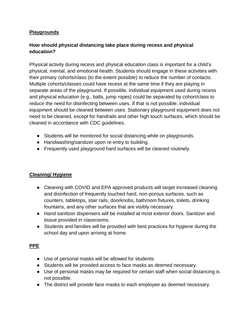#### **Playgrounds**

## **How should physical distancing take place during recess and physical education?**

Physical activity during recess and physical education class is important for a child's physical, mental, and emotional health. Students should engage in these activities with their primary cohorts/class (to the extent possible) to reduce the number of contacts. Multiple cohorts/classes could have recess at the same time if they are playing in separate areas of the playground. If possible, individual equipment used during recess and physical education (e.g., balls, jump ropes) could be separated by cohort/class to reduce the need for disinfecting between uses. If that is not possible, individual equipment should be cleaned between uses. Stationary playground equipment does not need to be cleaned, except for handrails and other high touch surfaces, which should be cleaned in accordance with CDC guidelines.

- Students will be monitored for social distancing while on playgrounds.
- Handwashing/sanitizer upon re-entry to building.
- Frequently used playground hard surfaces will be cleaned routinely.

## **Cleaning/ Hygiene**

- Cleaning with COVID and EPA approved products will target increased cleaning and disinfection of frequently touched hard, non-porous surfaces, such as counters, tabletops, stair rails, doorknobs, bathroom fixtures, toilets, drinking fountains, and any other surfaces that are visibly necessary.
- Hand sanitizer dispensers will be installed at most exterior doors. Sanitizer and tissue provided in classrooms.
- Students and families will be provided with best practices for hygiene during the school day and upon arriving at home.

## **PPE**

- Use of personal masks will be allowed for students.
- Students will be provided access to face masks as deemed necessary.
- Use of personal masks may be required for certain staff when social distancing is not possible.
- The district will provide face masks to each employee as deemed necessary.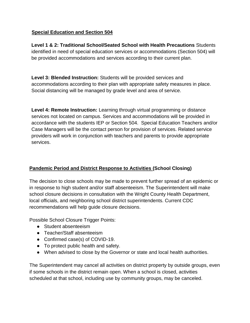#### **Special Education and Section 504**

**Level 1 & 2: Traditional School/Seated School with Health Precautions** Students identified in need of special education services or accommodations (Section 504) will be provided accommodations and services according to their current plan.

**Level 3: Blended Instruction:** Students will be provided services and accommodations according to their plan with appropriate safety measures in place. Social distancing will be managed by grade level and area of service.

**Level 4: Remote Instruction:** Learning through virtual programming or distance services not located on campus. Services and accommodations will be provided in accordance with the students IEP or Section 504. Special Education Teachers and/or Case Managers will be the contact person for provision of services. Related service providers will work in conjunction with teachers and parents to provide appropriate services.

## **Pandemic Period and District Response to Activities (School Closing)**

The decision to close schools may be made to prevent further spread of an epidemic or in response to high student and/or staff absenteeism. The Superintendent will make school closure decisions in consultation with the Wright County Health Department, local officials, and neighboring school district superintendents. Current CDC recommendations will help guide closure decisions.

Possible School Closure Trigger Points:

- Student absenteeism
- Teacher/Staff absenteeism
- Confirmed case(s) of COVID-19.
- To protect public health and safety.
- When advised to close by the Governor or state and local health authorities.

The Superintendent may cancel all activities on district property by outside groups, even if some schools in the district remain open. When a school is closed, activities scheduled at that school, including use by community groups, may be canceled.